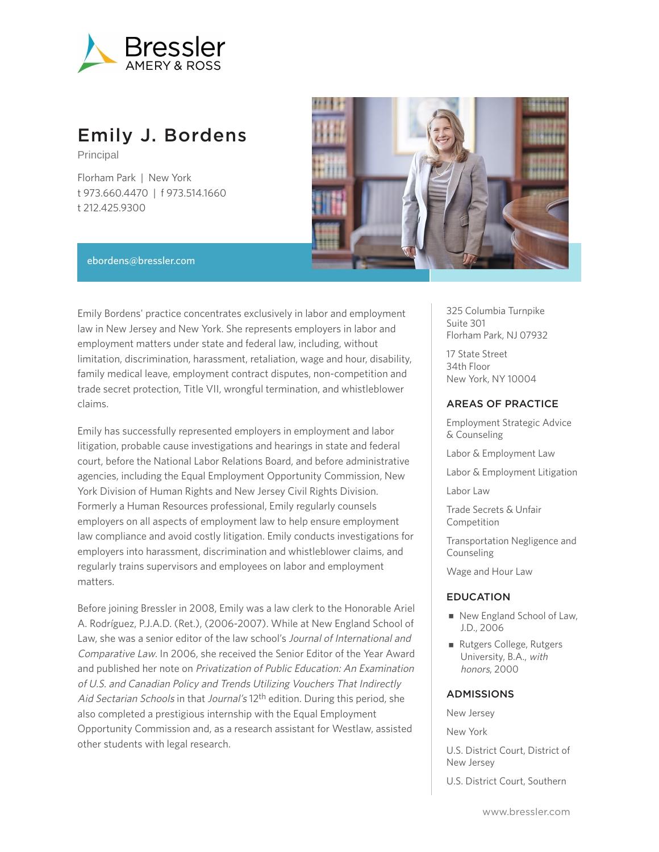

# Emily J. Bordens

Principal

Florham Park | New York t 973.660.4470 | f 973.514.1660 t 212.425.9300



#### ebordens@bressler.com

Emily Bordens' practice concentrates exclusively in labor and employment law in New Jersey and New York. She represents employers in labor and employment matters under state and federal law, including, without limitation, discrimination, harassment, retaliation, wage and hour, disability, family medical leave, employment contract disputes, non-competition and trade secret protection, Title VII, wrongful termination, and whistleblower claims.

Emily has successfully represented employers in employment and labor litigation, probable cause investigations and hearings in state and federal court, before the National Labor Relations Board, and before administrative agencies, including the Equal Employment Opportunity Commission, New York Division of Human Rights and New Jersey Civil Rights Division. Formerly a Human Resources professional, Emily regularly counsels employers on all aspects of employment law to help ensure employment law compliance and avoid costly litigation. Emily conducts investigations for employers into harassment, discrimination and whistleblower claims, and regularly trains supervisors and employees on labor and employment matters.

Before joining Bressler in 2008, Emily was a law clerk to the Honorable Ariel A. Rodríguez, P.J.A.D. (Ret.), (2006-2007). While at New England School of Law, she was a senior editor of the law school's Journal of International and Comparative Law. In 2006, she received the Senior Editor of the Year Award and published her note on Privatization of Public Education: An Examination of U.S. and Canadian Policy and Trends Utilizing Vouchers That Indirectly Aid Sectarian Schools in that Journal's 12<sup>th</sup> edition. During this period, she also completed a prestigious internship with the Equal Employment Opportunity Commission and, as a research assistant for Westlaw, assisted other students with legal research.

325 Columbia Turnpike Suite 301 Florham Park, NJ 07932

17 State Street 34th Floor New York, NY 10004

#### AREAS OF PRACTICE

Employment Strategic Advice & Counseling

Labor & Employment Law

Labor & Employment Litigation

Labor Law

Trade Secrets & Unfair Competition

Transportation Negligence and Counseling

Wage and Hour Law

#### EDUCATION

- New England School of Law, J.D., 2006
- Rutgers College, Rutgers University, B.A., with honors, 2000

#### ADMISSIONS

New Jersey New York U.S. District Court, District of New Jersey

U.S. District Court, Southern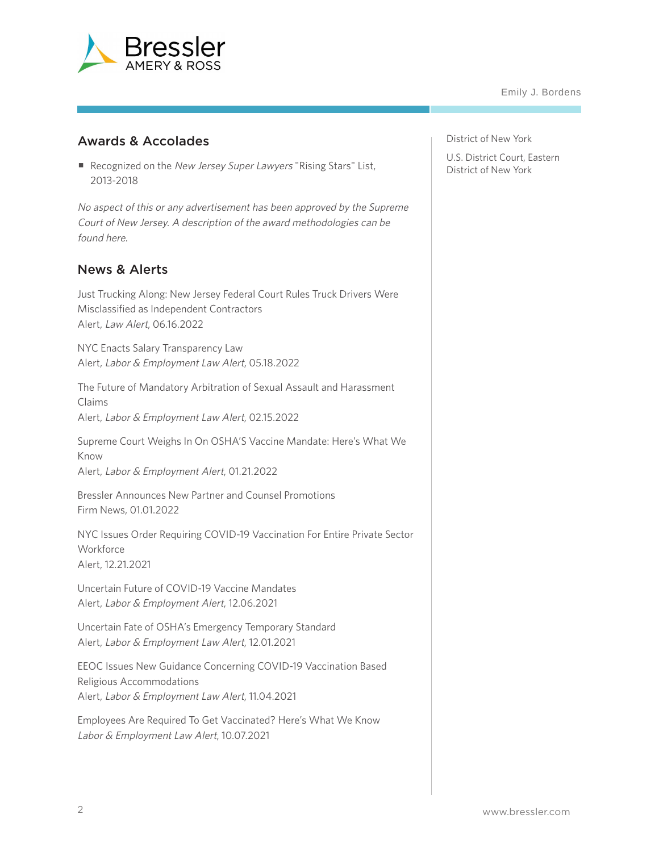

### Awards & Accolades

■ Recognized on the New Jersey Super Lawyers "Rising Stars" List, 2013-2018

No aspect of this or any advertisement has been approved by the Supreme Court of New Jersey. A description of the award methodologies can be found here.

## News & Alerts

Just Trucking Along: New Jersey Federal Court Rules Truck Drivers Were Misclassified as Independent Contractors Alert, Law Alert, 06.16.2022

NYC Enacts Salary Transparency Law Alert, Labor & Employment Law Alert, 05.18.2022

The Future of Mandatory Arbitration of Sexual Assault and Harassment Claims Alert, Labor & Employment Law Alert, 02.15.2022

Supreme Court Weighs In On OSHA'S Vaccine Mandate: Here's What We Know

Alert, Labor & Employment Alert, 01.21.2022

Bressler Announces New Partner and Counsel Promotions Firm News, 01.01.2022

NYC Issues Order Requiring COVID-19 Vaccination For Entire Private Sector Workforce Alert, 12.21.2021

Uncertain Future of COVID-19 Vaccine Mandates Alert, Labor & Employment Alert, 12.06.2021

Uncertain Fate of OSHA's Emergency Temporary Standard Alert, Labor & Employment Law Alert, 12.01.2021

EEOC Issues New Guidance Concerning COVID-19 Vaccination Based Religious Accommodations Alert, Labor & Employment Law Alert, 11.04.2021

Employees Are Required To Get Vaccinated? Here's What We Know Labor & Employment Law Alert, 10.07.2021

District of New York

U.S. District Court, Eastern District of New York